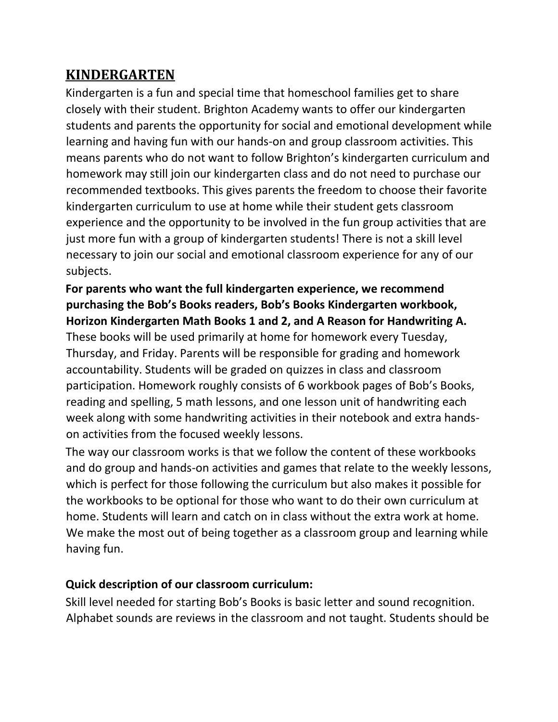## **KINDERGARTEN**

Kindergarten is a fun and special time that homeschool families get to share closely with their student. Brighton Academy wants to offer our kindergarten students and parents the opportunity for social and emotional development while learning and having fun with our hands-on and group classroom activities. This means parents who do not want to follow Brighton's kindergarten curriculum and homework may still join our kindergarten class and do not need to purchase our recommended textbooks. This gives parents the freedom to choose their favorite kindergarten curriculum to use at home while their student gets classroom experience and the opportunity to be involved in the fun group activities that are just more fun with a group of kindergarten students! There is not a skill level necessary to join our social and emotional classroom experience for any of our subjects.

## **For parents who want the full kindergarten experience, we recommend purchasing the Bob's Books readers, Bob's Books Kindergarten workbook, Horizon Kindergarten Math Books 1 and 2, and A Reason for Handwriting A.**

These books will be used primarily at home for homework every Tuesday, Thursday, and Friday. Parents will be responsible for grading and homework accountability. Students will be graded on quizzes in class and classroom participation. Homework roughly consists of 6 workbook pages of Bob's Books, reading and spelling, 5 math lessons, and one lesson unit of handwriting each week along with some handwriting activities in their notebook and extra handson activities from the focused weekly lessons.

The way our classroom works is that we follow the content of these workbooks and do group and hands-on activities and games that relate to the weekly lessons, which is perfect for those following the curriculum but also makes it possible for the workbooks to be optional for those who want to do their own curriculum at home. Students will learn and catch on in class without the extra work at home. We make the most out of being together as a classroom group and learning while having fun.

## **Quick description of our classroom curriculum:**

Skill level needed for starting Bob's Books is basic letter and sound recognition. Alphabet sounds are reviews in the classroom and not taught. Students should be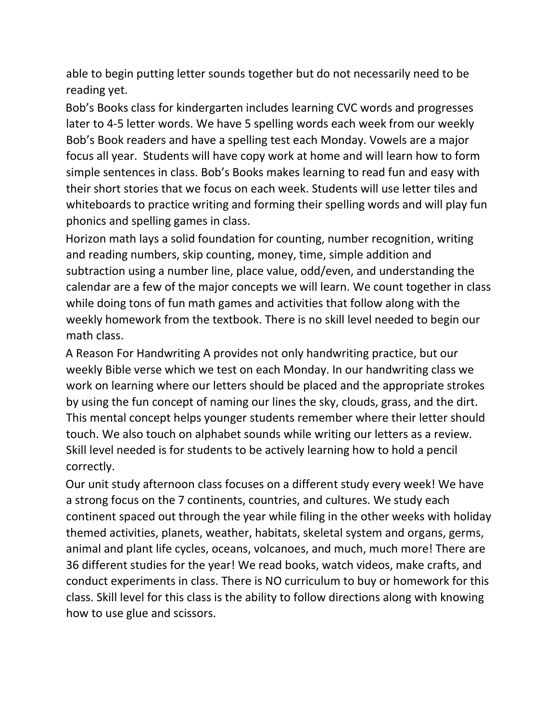able to begin putting letter sounds together but do not necessarily need to be reading yet.

Bob's Books class for kindergarten includes learning CVC words and progresses later to 4-5 letter words. We have 5 spelling words each week from our weekly Bob's Book readers and have a spelling test each Monday. Vowels are a major focus all year. Students will have copy work at home and will learn how to form simple sentences in class. Bob's Books makes learning to read fun and easy with their short stories that we focus on each week. Students will use letter tiles and whiteboards to practice writing and forming their spelling words and will play fun phonics and spelling games in class.

Horizon math lays a solid foundation for counting, number recognition, writing and reading numbers, skip counting, money, time, simple addition and subtraction using a number line, place value, odd/even, and understanding the calendar are a few of the major concepts we will learn. We count together in class while doing tons of fun math games and activities that follow along with the weekly homework from the textbook. There is no skill level needed to begin our math class.

A Reason For Handwriting A provides not only handwriting practice, but our weekly Bible verse which we test on each Monday. In our handwriting class we work on learning where our letters should be placed and the appropriate strokes by using the fun concept of naming our lines the sky, clouds, grass, and the dirt. This mental concept helps younger students remember where their letter should touch. We also touch on alphabet sounds while writing our letters as a review. Skill level needed is for students to be actively learning how to hold a pencil correctly.

Our unit study afternoon class focuses on a different study every week! We have a strong focus on the 7 continents, countries, and cultures. We study each continent spaced out through the year while filing in the other weeks with holiday themed activities, planets, weather, habitats, skeletal system and organs, germs, animal and plant life cycles, oceans, volcanoes, and much, much more! There are 36 different studies for the year! We read books, watch videos, make crafts, and conduct experiments in class. There is NO curriculum to buy or homework for this class. Skill level for this class is the ability to follow directions along with knowing how to use glue and scissors.